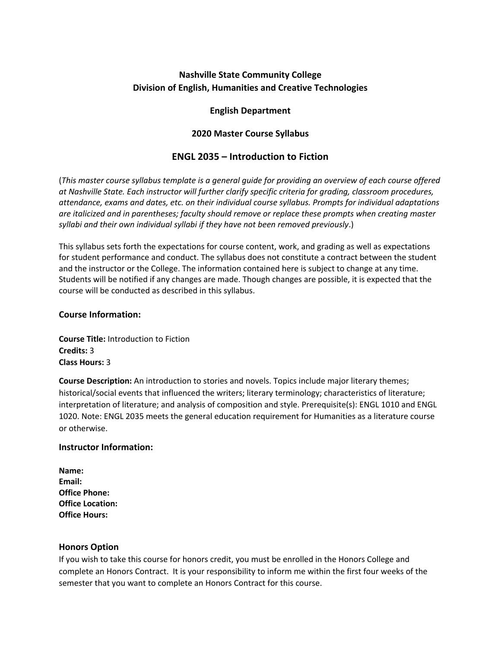# **Nashville State Community College Division of English, Humanities and Creative Technologies**

## **English Department**

## **2020 Master Course Syllabus**

# **ENGL 2035 – Introduction to Fiction**

(*This master course syllabus template is a general guide for providing an overview of each course offered at Nashville State. Each instructor will further clarify specific criteria for grading, classroom procedures, attendance, exams and dates, etc. on their individual course syllabus. Prompts for individual adaptations are italicized and in parentheses; faculty should remove or replace these prompts when creating master syllabi and their own individual syllabi if they have not been removed previously*.)

This syllabus sets forth the expectations for course content, work, and grading as well as expectations for student performance and conduct. The syllabus does not constitute a contract between the student and the instructor or the College. The information contained here is subject to change at any time. Students will be notified if any changes are made. Though changes are possible, it is expected that the course will be conducted as described in this syllabus.

## **Course Information:**

**Course Title:** Introduction to Fiction **Credits:** 3 **Class Hours:** 3

**Course Description:** An introduction to stories and novels. Topics include major literary themes; historical/social events that influenced the writers; literary terminology; characteristics of literature; interpretation of literature; and analysis of composition and style. Prerequisite(s): ENGL 1010 and ENGL 1020. Note: ENGL 2035 meets the general education requirement for Humanities as a literature course or otherwise.

## **Instructor Information:**

| Name:                   |
|-------------------------|
| Email:                  |
| <b>Office Phone:</b>    |
| <b>Office Location:</b> |
| <b>Office Hours:</b>    |

## **Honors Option**

If you wish to take this course for honors credit, you must be enrolled in the Honors College and complete an Honors Contract. It is your responsibility to inform me within the first four weeks of the semester that you want to complete an Honors Contract for this course.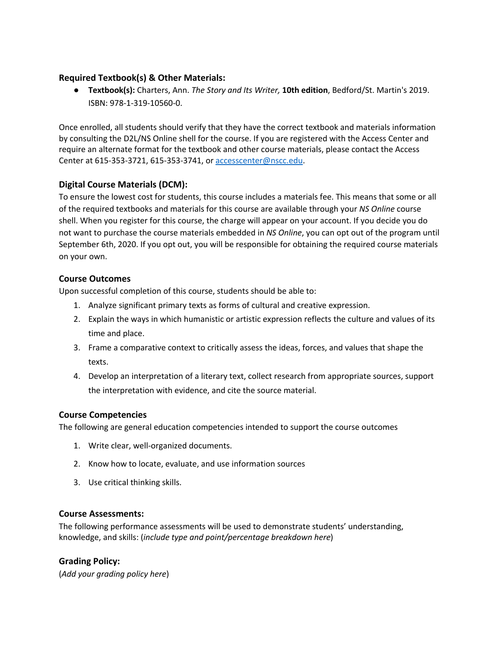## **Required Textbook(s) & Other Materials:**

● **Textbook(s):** Charters, Ann. *The Story and Its Writer,* **10th edition**, Bedford/St. Martin's 2019. ISBN: 978-1-319-10560-0.

Once enrolled, all students should verify that they have the correct textbook and materials information by consulting the D2L/NS Online shell for the course. If you are registered with the Access Center and require an alternate format for the textbook and other course materials, please contact the Access Center at 615-353-3721, 615-353-3741, or accesscenter@nscc.edu.

## **Digital Course Materials (DCM):**

To ensure the lowest cost for students, this course includes a materials fee. This means that some or all of the required textbooks and materials for this course are available through your *NS Online* course shell. When you register for this course, the charge will appear on your account. If you decide you do not want to purchase the course materials embedded in *NS Online*, you can opt out of the program until September 6th, 2020. If you opt out, you will be responsible for obtaining the required course materials on your own.

## **Course Outcomes**

Upon successful completion of this course, students should be able to:

- 1. Analyze significant primary texts as forms of cultural and creative expression.
- 2. Explain the ways in which humanistic or artistic expression reflects the culture and values of its time and place.
- 3. Frame a comparative context to critically assess the ideas, forces, and values that shape the texts.
- 4. Develop an interpretation of a literary text, collect research from appropriate sources, support the interpretation with evidence, and cite the source material.

## **Course Competencies**

The following are general education competencies intended to support the course outcomes

- 1. Write clear, well-organized documents.
- 2. Know how to locate, evaluate, and use information sources
- 3. Use critical thinking skills.

#### **Course Assessments:**

The following performance assessments will be used to demonstrate students' understanding, knowledge, and skills: (*include type and point/percentage breakdown here*)

## **Grading Policy:**

(*Add your grading policy here*)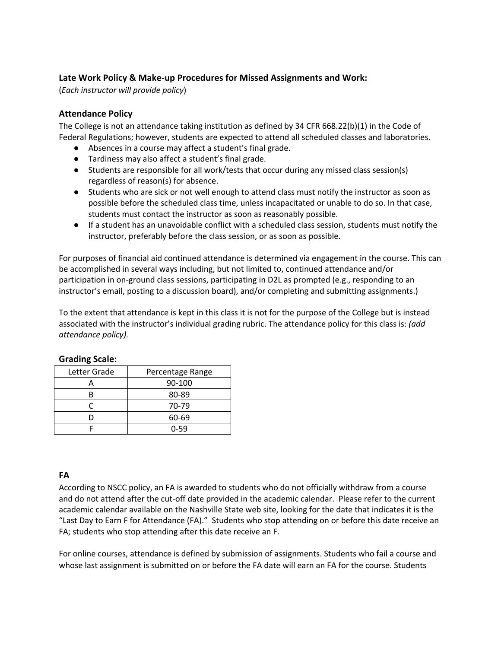# **Late Work Policy & Make-up Procedures for Missed Assignments and Work:**

(*Each instructor will provide policy*)

## **Attendance Policy**

The College is not an attendance taking institution as defined by 34 CFR 668.22(b)(1) in the Code of Federal Regulations; however, students are expected to attend all scheduled classes and laboratories.

- Absences in a course may affect a student's final grade.
- Tardiness may also affect a student's final grade.
- Students are responsible for all work/tests that occur during any missed class session(s) regardless of reason(s) for absence.
- Students who are sick or not well enough to attend class must notify the instructor as soon as possible before the scheduled class time, unless incapacitated or unable to do so. In that case, students must contact the instructor as soon as reasonably possible.
- If a student has an unavoidable conflict with a scheduled class session, students must notify the instructor, preferably before the class session, or as soon as possible.

For purposes of financial aid continued attendance is determined via engagement in the course. This can be accomplished in several ways including, but not limited to, continued attendance and/or participation in on-ground class sessions, participating in D2L as prompted (e.g., responding to an instructor's email, posting to a discussion board), and/or completing and submitting assignments.)

To the extent that attendance is kept in this class it is not for the purpose of the College but is instead associated with the instructor's individual grading rubric. The attendance policy for this class is: *(add attendance policy).*

| Letter Grade | Percentage Range |
|--------------|------------------|
|              | 90-100           |
|              | 80-89            |
|              | 70-79            |
|              | 60-69            |
|              | 0-59             |

## **Grading Scale:**

# **FA**

According to NSCC policy, an FA is awarded to students who do not officially withdraw from a course and do not attend after the cut-off date provided in the academic calendar. Please refer to the current academic calendar available on the Nashville State web site, looking for the date that indicates it is the "Last Day to Earn F for Attendance (FA)." Students who stop attending on or before this date receive an FA; students who stop attending after this date receive an F.

For online courses, attendance is defined by submission of assignments. Students who fail a course and whose last assignment is submitted on or before the FA date will earn an FA for the course. Students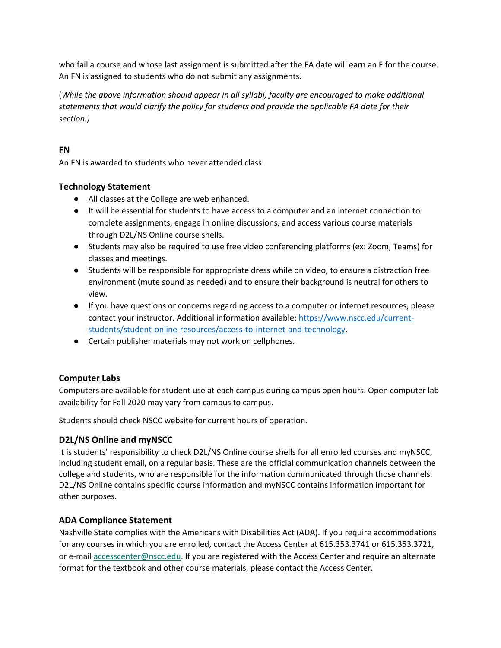who fail a course and whose last assignment is submitted after the FA date will earn an F for the course. An FN is assigned to students who do not submit any assignments.

(*While the above information should appear in all syllabi, faculty are encouraged to make additional statements that would clarify the policy for students and provide the applicable FA date for their section.)*

# **FN**

An FN is awarded to students who never attended class.

## **Technology Statement**

- All classes at the College are web enhanced.
- It will be essential for students to have access to a computer and an internet connection to complete assignments, engage in online discussions, and access various course materials through D2L/NS Online course shells.
- Students may also be required to use free video conferencing platforms (ex: Zoom, Teams) for classes and meetings.
- Students will be responsible for appropriate dress while on video, to ensure a distraction free environment (mute sound as needed) and to ensure their background is neutral for others to view.
- If you have questions or concerns regarding access to a computer or internet resources, please contact your instructor. Additional information available: https://www.nscc.edu/currentstudents/student-online-resources/access-to-internet-and-technology.
- Certain publisher materials may not work on cellphones.

## **Computer Labs**

Computers are available for student use at each campus during campus open hours. Open computer lab availability for Fall 2020 may vary from campus to campus.

Students should check NSCC website for current hours of operation.

## **D2L/NS Online and myNSCC**

It is students' responsibility to check D2L/NS Online course shells for all enrolled courses and myNSCC, including student email, on a regular basis. These are the official communication channels between the college and students, who are responsible for the information communicated through those channels. D2L/NS Online contains specific course information and myNSCC contains information important for other purposes.

## **ADA Compliance Statement**

Nashville State complies with the Americans with Disabilities Act (ADA). If you require accommodations for any courses in which you are enrolled, contact the Access Center at 615.353.3741 or 615.353.3721, or e-mail accesscenter@nscc.edu. If you are registered with the Access Center and require an alternate format for the textbook and other course materials, please contact the Access Center.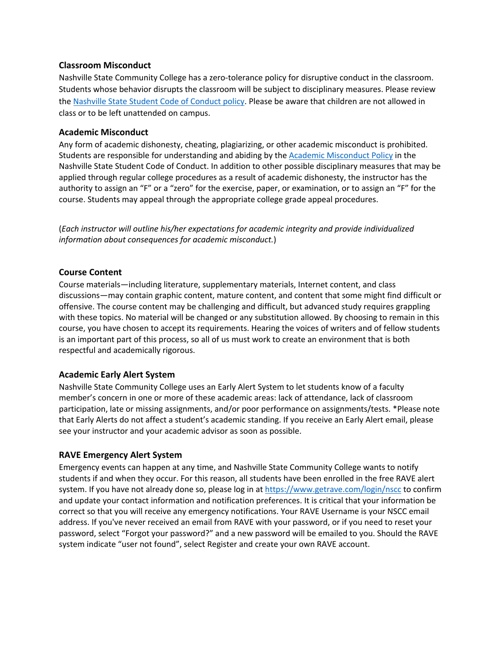#### **Classroom Misconduct**

Nashville State Community College has a zero-tolerance policy for disruptive conduct in the classroom. Students whose behavior disrupts the classroom will be subject to disciplinary measures. Please review the Nashville State Student Code of Conduct policy. Please be aware that children are not allowed in class or to be left unattended on campus.

#### **Academic Misconduct**

Any form of academic dishonesty, cheating, plagiarizing, or other academic misconduct is prohibited. Students are responsible for understanding and abiding by the Academic Misconduct Policy in the Nashville State Student Code of Conduct. In addition to other possible disciplinary measures that may be applied through regular college procedures as a result of academic dishonesty, the instructor has the authority to assign an "F" or a "zero" for the exercise, paper, or examination, or to assign an "F" for the course. Students may appeal through the appropriate college grade appeal procedures.

(*Each instructor will outline his/her expectations for academic integrity and provide individualized information about consequences for academic misconduct.*)

#### **Course Content**

Course materials—including literature, supplementary materials, Internet content, and class discussions—may contain graphic content, mature content, and content that some might find difficult or offensive. The course content may be challenging and difficult, but advanced study requires grappling with these topics. No material will be changed or any substitution allowed. By choosing to remain in this course, you have chosen to accept its requirements. Hearing the voices of writers and of fellow students is an important part of this process, so all of us must work to create an environment that is both respectful and academically rigorous.

## **Academic Early Alert System**

Nashville State Community College uses an Early Alert System to let students know of a faculty member's concern in one or more of these academic areas: lack of attendance, lack of classroom participation, late or missing assignments, and/or poor performance on assignments/tests. \*Please note that Early Alerts do not affect a student's academic standing. If you receive an Early Alert email, please see your instructor and your academic advisor as soon as possible.

#### **RAVE Emergency Alert System**

Emergency events can happen at any time, and Nashville State Community College wants to notify students if and when they occur. For this reason, all students have been enrolled in the free RAVE alert system. If you have not already done so, please log in at https://www.getrave.com/login/nscc to confirm and update your contact information and notification preferences. It is critical that your information be correct so that you will receive any emergency notifications. Your RAVE Username is your NSCC email address. If you've never received an email from RAVE with your password, or if you need to reset your password, select "Forgot your password?" and a new password will be emailed to you. Should the RAVE system indicate "user not found", select Register and create your own RAVE account.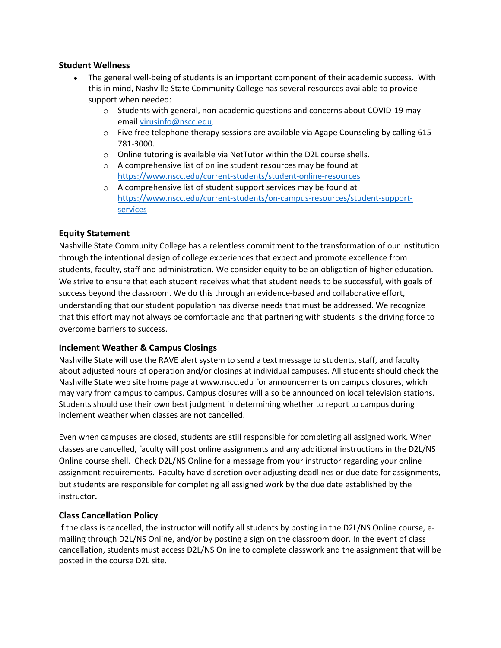#### **Student Wellness**

- The general well-being of students is an important component of their academic success. With this in mind, Nashville State Community College has several resources available to provide support when needed:
	- o Students with general, non-academic questions and concerns about COVID-19 may email virusinfo@nscc.edu.
	- o Five free telephone therapy sessions are available via Agape Counseling by calling 615- 781-3000.
	- o Online tutoring is available via NetTutor within the D2L course shells.
	- o A comprehensive list of online student resources may be found at https://www.nscc.edu/current-students/student-online-resources
	- o A comprehensive list of student support services may be found at https://www.nscc.edu/current-students/on-campus-resources/student-supportservices

## **Equity Statement**

Nashville State Community College has a relentless commitment to the transformation of our institution through the intentional design of college experiences that expect and promote excellence from students, faculty, staff and administration. We consider equity to be an obligation of higher education. We strive to ensure that each student receives what that student needs to be successful, with goals of success beyond the classroom. We do this through an evidence-based and collaborative effort, understanding that our student population has diverse needs that must be addressed. We recognize that this effort may not always be comfortable and that partnering with students is the driving force to overcome barriers to success.

#### **Inclement Weather & Campus Closings**

Nashville State will use the RAVE alert system to send a text message to students, staff, and faculty about adjusted hours of operation and/or closings at individual campuses. All students should check the Nashville State web site home page at www.nscc.edu for announcements on campus closures, which may vary from campus to campus. Campus closures will also be announced on local television stations. Students should use their own best judgment in determining whether to report to campus during inclement weather when classes are not cancelled.

Even when campuses are closed, students are still responsible for completing all assigned work. When classes are cancelled, faculty will post online assignments and any additional instructions in the D2L/NS Online course shell. Check D2L/NS Online for a message from your instructor regarding your online assignment requirements. Faculty have discretion over adjusting deadlines or due date for assignments, but students are responsible for completing all assigned work by the due date established by the instructor**.**

## **Class Cancellation Policy**

If the class is cancelled, the instructor will notify all students by posting in the D2L/NS Online course, emailing through D2L/NS Online, and/or by posting a sign on the classroom door. In the event of class cancellation, students must access D2L/NS Online to complete classwork and the assignment that will be posted in the course D2L site.